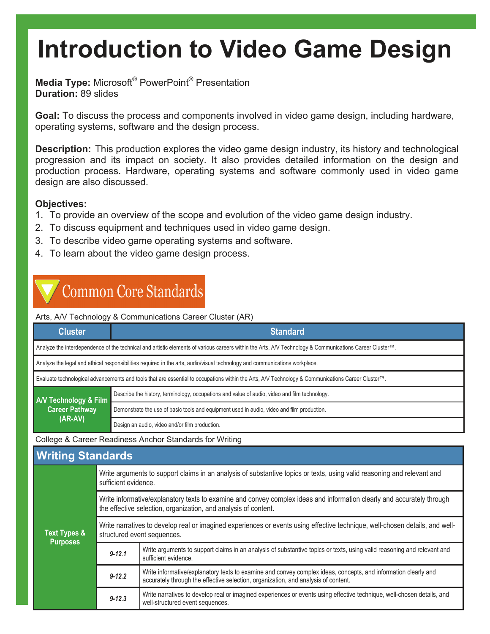**Media Type:** Microsoft® PowerPoint® Presentation **Duration:** 89 slides

**Goal:** To discuss the process and components involved in video game design, including hardware, operating systems, software and the design process.

**Description:** This production explores the video game design industry, its history and technological progression and its impact on society. It also provides detailed information on the design and production process. Hardware, operating systems and software commonly used in video game design are also discussed.

## **Objectives:**

- 1. To provide an overview of the scope and evolution of the video game design industry.
- 2. To discuss equipment and techniques used in video game design.
- 3. To describe video game operating systems and software.
- 4. To learn about the video game design process.

# **Common Core Standards**

Arts, A/V Technology & Communications Career Cluster (AR)

| <b>Cluster</b>                                                                                                                                          | <b>Standard</b>                                                                               |  |  |  |
|---------------------------------------------------------------------------------------------------------------------------------------------------------|-----------------------------------------------------------------------------------------------|--|--|--|
| Analyze the interdependence of the technical and artistic elements of various careers within the Arts, A/V Technology & Communications Career Cluster™. |                                                                                               |  |  |  |
| Analyze the legal and ethical responsibilities required in the arts, audio/visual technology and communications workplace.                              |                                                                                               |  |  |  |
| Evaluate technological advancements and tools that are essential to occupations within the Arts, A/V Technology & Communications Career Cluster™.       |                                                                                               |  |  |  |
| A/V Technology & Film<br><b>Career Pathway</b><br>$(AR-AV)$                                                                                             | Describe the history, terminology, occupations and value of audio, video and film technology. |  |  |  |
|                                                                                                                                                         | Demonstrate the use of basic tools and equipment used in audio, video and film production.    |  |  |  |
|                                                                                                                                                         | Design an audio, video and/or film production.                                                |  |  |  |

College & Career Readiness Anchor Standards for Writing

| <b>Writing Standards</b>        |                                                                                                                                                                                           |                                                                                                                                                                                                      |  |  |  |
|---------------------------------|-------------------------------------------------------------------------------------------------------------------------------------------------------------------------------------------|------------------------------------------------------------------------------------------------------------------------------------------------------------------------------------------------------|--|--|--|
| Text Types &<br><b>Purposes</b> | Write arguments to support claims in an analysis of substantive topics or texts, using valid reasoning and relevant and<br>sufficient evidence.                                           |                                                                                                                                                                                                      |  |  |  |
|                                 | Write informative/explanatory texts to examine and convey complex ideas and information clearly and accurately through<br>the effective selection, organization, and analysis of content. |                                                                                                                                                                                                      |  |  |  |
|                                 | Write narratives to develop real or imagined experiences or events using effective technique, well-chosen details, and well-<br>structured event sequences.                               |                                                                                                                                                                                                      |  |  |  |
|                                 | $9 - 12.1$                                                                                                                                                                                | Write arguments to support claims in an analysis of substantive topics or texts, using valid reasoning and relevant and<br>sufficient evidence.                                                      |  |  |  |
|                                 | $9 - 12.2$                                                                                                                                                                                | Write informative/explanatory texts to examine and convey complex ideas, concepts, and information clearly and<br>accurately through the effective selection, organization, and analysis of content. |  |  |  |
|                                 | $9 - 12.3$                                                                                                                                                                                | Write narratives to develop real or imagined experiences or events using effective technique, well-chosen details, and<br>well-structured event sequences.                                           |  |  |  |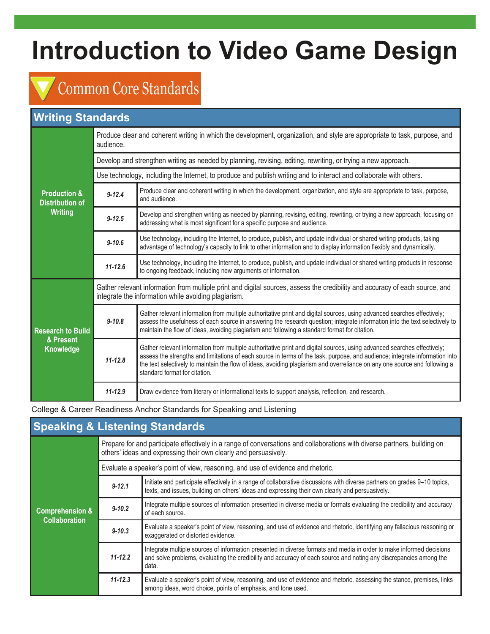# **Common Core Standards**

## **Writing Standards**

| <b>Production &amp;</b><br><b>Distribution of</b><br><b>Writing</b> | Produce clear and coherent writing in which the development, organization, and style are appropriate to task, purpose, and<br>audience.                                              |                                                                                                                                                                                                                                                                                                                                                                                                                       |  |  |  |
|---------------------------------------------------------------------|--------------------------------------------------------------------------------------------------------------------------------------------------------------------------------------|-----------------------------------------------------------------------------------------------------------------------------------------------------------------------------------------------------------------------------------------------------------------------------------------------------------------------------------------------------------------------------------------------------------------------|--|--|--|
|                                                                     | Develop and strengthen writing as needed by planning, revising, editing, rewriting, or trying a new approach.                                                                        |                                                                                                                                                                                                                                                                                                                                                                                                                       |  |  |  |
|                                                                     | Use technology, including the Internet, to produce and publish writing and to interact and collaborate with others.                                                                  |                                                                                                                                                                                                                                                                                                                                                                                                                       |  |  |  |
|                                                                     | $9 - 12.4$                                                                                                                                                                           | Produce clear and coherent writing in which the development, organization, and style are appropriate to task, purpose,<br>and audience.                                                                                                                                                                                                                                                                               |  |  |  |
|                                                                     | $9 - 12.5$                                                                                                                                                                           | Develop and strengthen writing as needed by planning, revising, editing, rewriting, or trying a new approach, focusing on<br>addressing what is most significant for a specific purpose and audience.                                                                                                                                                                                                                 |  |  |  |
|                                                                     | $9 - 10.6$                                                                                                                                                                           | Use technology, including the Internet, to produce, publish, and update individual or shared writing products, taking<br>advantage of technology's capacity to link to other information and to display information flexibly and dynamically.                                                                                                                                                                         |  |  |  |
|                                                                     | $11 - 12.6$                                                                                                                                                                          | Use technology, including the Internet, to produce, publish, and update individual or shared writing products in response<br>to ongoing feedback, including new arguments or information.                                                                                                                                                                                                                             |  |  |  |
| <b>Research to Build</b><br>& Present<br>Knowledge                  | Gather relevant information from multiple print and digital sources, assess the credibility and accuracy of each source, and<br>integrate the information while avoiding plagiarism. |                                                                                                                                                                                                                                                                                                                                                                                                                       |  |  |  |
|                                                                     | $9 - 10.8$                                                                                                                                                                           | Gather relevant information from multiple authoritative print and digital sources, using advanced searches effectively;<br>assess the usefulness of each source in answering the research question; integrate information into the text selectively to<br>maintain the flow of ideas, avoiding plagiarism and following a standard format for citation.                                                               |  |  |  |
|                                                                     | $11 - 12.8$                                                                                                                                                                          | Gather relevant information from multiple authoritative print and digital sources, using advanced searches effectively;<br>assess the strengths and limitations of each source in terms of the task, purpose, and audience; integrate information into<br>the text selectively to maintain the flow of ideas, avoiding plagiarism and overreliance on any one source and following a<br>standard format for citation. |  |  |  |
|                                                                     | $11 - 12.9$                                                                                                                                                                          | Draw evidence from literary or informational texts to support analysis, reflection, and research.                                                                                                                                                                                                                                                                                                                     |  |  |  |

College & Career Readiness Anchor Standards for Speaking and Listening

| <b>Speaking &amp; Listening Standards</b>          |                                                                                                                                                                                               |                                                                                                                                                                                                                                                    |  |  |  |
|----------------------------------------------------|-----------------------------------------------------------------------------------------------------------------------------------------------------------------------------------------------|----------------------------------------------------------------------------------------------------------------------------------------------------------------------------------------------------------------------------------------------------|--|--|--|
| <b>Comprehension &amp;</b><br><b>Collaboration</b> | Prepare for and participate effectively in a range of conversations and collaborations with diverse partners, building on<br>others' ideas and expressing their own clearly and persuasively. |                                                                                                                                                                                                                                                    |  |  |  |
|                                                    | Evaluate a speaker's point of view, reasoning, and use of evidence and rhetoric.                                                                                                              |                                                                                                                                                                                                                                                    |  |  |  |
|                                                    | $9 - 12.1$                                                                                                                                                                                    | Initiate and participate effectively in a range of collaborative discussions with diverse partners on grades 9–10 topics,<br>texts, and issues, building on others' ideas and expressing their own clearly and persuasively.                       |  |  |  |
|                                                    | $9 - 10.2$                                                                                                                                                                                    | Integrate multiple sources of information presented in diverse media or formats evaluating the credibility and accuracy<br>of each source.                                                                                                         |  |  |  |
|                                                    | $9 - 10.3$                                                                                                                                                                                    | Evaluate a speaker's point of view, reasoning, and use of evidence and rhetoric, identifying any fallacious reasoning or<br>exaggerated or distorted evidence.                                                                                     |  |  |  |
|                                                    | $11 - 12.2$                                                                                                                                                                                   | Integrate multiple sources of information presented in diverse formats and media in order to make informed decisions<br>and solve problems, evaluating the credibility and accuracy of each source and noting any discrepancies among the<br>data. |  |  |  |
|                                                    | $11 - 12.3$                                                                                                                                                                                   | Evaluate a speaker's point of view, reasoning, and use of evidence and rhetoric, assessing the stance, premises, links<br>among ideas, word choice, points of emphasis, and tone used.                                                             |  |  |  |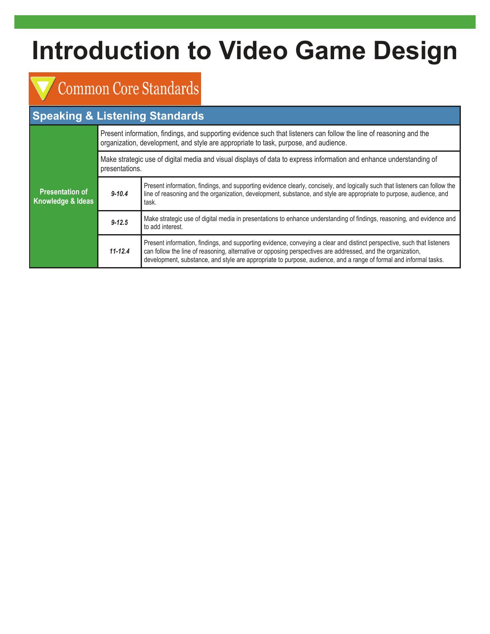# Common Core Standards

# **Speaking & Listening Standards**

| <b>Presentation of</b><br>Knowledge & Ideas | Present information, findings, and supporting evidence such that listeners can follow the line of reasoning and the<br>organization, development, and style are appropriate to task, purpose, and audience. |                                                                                                                                                                                                                                                                                                                                                             |  |  |
|---------------------------------------------|-------------------------------------------------------------------------------------------------------------------------------------------------------------------------------------------------------------|-------------------------------------------------------------------------------------------------------------------------------------------------------------------------------------------------------------------------------------------------------------------------------------------------------------------------------------------------------------|--|--|
|                                             | Make strategic use of digital media and visual displays of data to express information and enhance understanding of<br>presentations.                                                                       |                                                                                                                                                                                                                                                                                                                                                             |  |  |
|                                             | $9 - 10.4$                                                                                                                                                                                                  | Present information, findings, and supporting evidence clearly, concisely, and logically such that listeners can follow the<br>line of reasoning and the organization, development, substance, and style are appropriate to purpose, audience, and<br>task.                                                                                                 |  |  |
|                                             | $9 - 12.5$                                                                                                                                                                                                  | Make strategic use of digital media in presentations to enhance understanding of findings, reasoning, and evidence and<br>to add interest.                                                                                                                                                                                                                  |  |  |
|                                             | $11 - 12.4$                                                                                                                                                                                                 | Present information, findings, and supporting evidence, conveying a clear and distinct perspective, such that listeners<br>can follow the line of reasoning, alternative or opposing perspectives are addressed, and the organization,<br>development, substance, and style are appropriate to purpose, audience, and a range of formal and informal tasks. |  |  |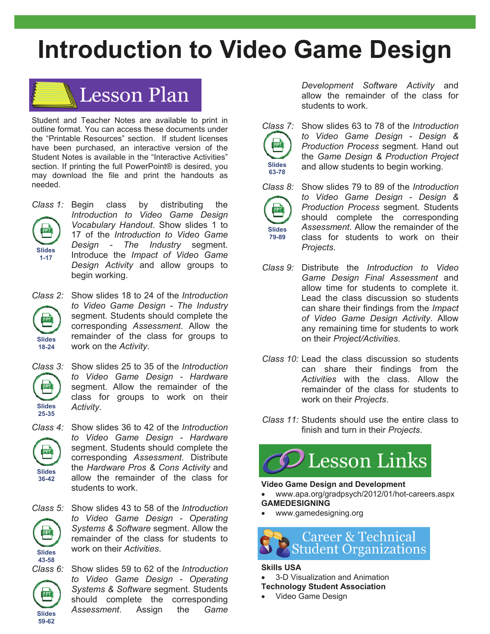

Student and Teacher Notes are available to print in outline format. You can access these documents under the "Printable Resources" section. If student licenses have been purchased, an interactive version of the Student Notes is available in the "Interactive Activities" section. If printing the full PowerPoint® is desired, you may download the file and print the handouts as needed.



*Class 1:* Begin class by distributing the *Introduction to Video Game Design Vocabulary Handout*. Show slides 1 to 17 of the *Introduction to Video Game Design - The Industry* segment. Introduce the *Impact of Video Game Design Activity* and allow groups to begin working.



*Class 2:* Show slides 18 to 24 of the *Introduction to Video Game Design - The Industry*  segment. Students should complete the corresponding *Assessment*. Allow the remainder of the class for groups to work on the *Activity*.



*Class 3:* Show slides 25 to 35 of the *Introduction to Video Game Design - Hardware*  segment. Allow the remainder of the class for groups to work on their *Activity*.

**Slides 36-42** 

PPT

*Class 4:* Show slides 36 to 42 of the *Introduction to Video Game Design - Hardware*  segment. Students should complete the corresponding *Assessment*. Distribute the *Hardware Pros & Cons Activity* and allow the remainder of the class for students to work.



**Slides 43-58** 

**Slides 59-62** 

**PPT** 

*Class 5:* Show slides 43 to 58 of the *Introduction to Video Game Design - Operating Systems & Software* segment. Allow the remainder of the class for students to work on their *Activities*.

*Class 6:* Show slides 59 to 62 of the *Introduction to Video Game Design - Operating Systems & Software* segment. Students should complete the corresponding *Assessment*. Assign the *Game* 

*Development Software Activity* and allow the remainder of the class for students to work.

*Class 7:* Show slides 63 to 78 of the *Introduction to Video Game Design - Design & Production Process* segment. Hand out the *Game Design & Production Project*  and allow students to begin working. **Slides 63-78** 



PPT

*Class 8:* Show slides 79 to 89 of the *Introduction to Video Game Design - Design & Production Process* segment. Students should complete the corresponding *Assessment*. Allow the remainder of the class for students to work on their *Projects*.

- *Class 9:* Distribute the *Introduction to Video Game Design Final Assessment* and allow time for students to complete it. Lead the class discussion so students can share their findings from the *Impact of Video Game Design Activity*. Allow any remaining time for students to work on their *Project/Activities*.
- *Class 10:* Lead the class discussion so students can share their findings from the *Activities* with the class. Allow the remainder of the class for students to work on their *Projects*.
- *Class 11:* Students should use the entire class to finish and turn in their *Projects*.



## **Video Game Design and Development**

- www.apa.org/gradpsych/2012/01/hot-careers.aspx **GAMEDESIGNING**
- www.gamedesigning.org



### **Skills USA**

- 3-D Visualization and Animation **Technology Student Association**
- Video Game Design